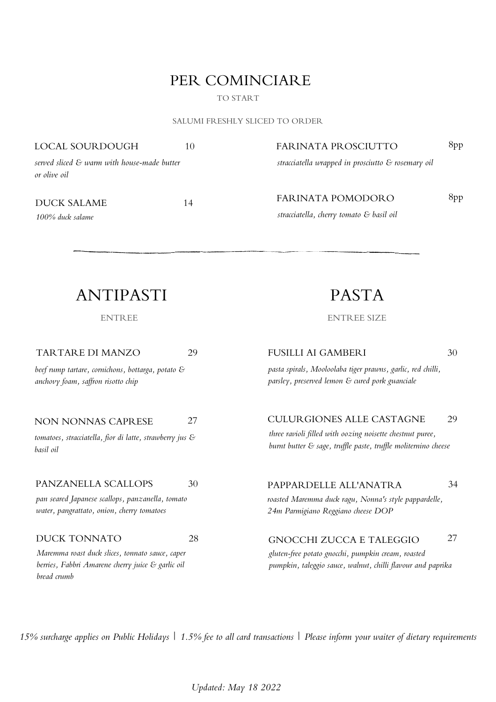### PER COMINCIARE

TO START

SALUMI FRESHLY SLICED TO ORDER

LOCAL SOURDOUGH 10

### FARINATA PROSCIUTTO 8pp

*served sliced & warm with house-made butter or olive oil*

DUCK SALAME 14

*100% duck salame*

*stracciatella wrapped in prosciutto & rosemary oil*

*stracciatella, cherry tomato & basil oil*

FARINATA POMODORO 8pp

### ANTIPASTI

ENTREE

29 TARTARE DI MANZO

*beef rump tartare, cornichons, bottarga, potato & anchovy foam, saf ron risotto chip*

#### 27 NON NONNAS CAPRESE

*tomatoes, stracciatella, fior di latte, strawberry jus & basil oil*

### PANZANELLA SCALLOPS 30

*pan seared Japanese scallops, panzanella, tomato water, pangrattato, onion, cherry tomatoes*

### DUCK TONNATO 28

*Maremma roast duck slices, tonnato sauce, caper berries, Fabbri Amarene cherry juice & garlic oil bread crumb*

PASTA

ENTREE SIZE

FUSILLI AI GAMBERI 30

*pasta spirals, Mooloolaba tiger prawns, garlic, red chilli, parsley, preserved lemon & cured pork guanciale*

### CULURGIONES ALLE CASTAGNE 29

*three ravioli filled with oozing noisette chestnut puree, burnt butter & sage, truf le paste, truf le moliternino cheese*

### PAPPARDELLE ALL'ANATRA 34 *roasted Maremma duck ragu, Nonna's style pappardelle,*

*24m Parmigiano Reggiano cheese DOP*

### GNOCCHI ZUCCA E TALEGGIO 27

*gluten-free potato gnocchi, pumpkin cream, roasted pumpkin, taleggio sauce, walnut, chilli flavour and paprika*

15% surcharge applies on Public Holidays | 1.5% fee to all card transactions | Please inform your waiter of dietary requirements

*Updated: May 18 2022*